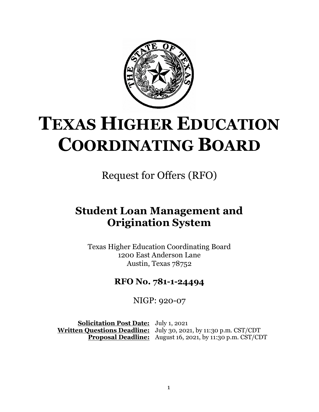

# **TEXAS HIGHER EDUCATION COORDINATING BOARD**

Request for Offers (RFO)

# **Student Loan Management and Origination System**

Texas Higher Education Coordinating Board 1200 East Anderson Lane Austin, Texas 78752

## **RFO No. 781-1-24494**

NIGP: 920-07

**Solicitation Post Date:** July 1, 2021 **Written Questions Deadline:** July 30, 2021, by 11:30 p.m. CST/CDT **Proposal Deadline:** August 16, 2021, by 11:30 p.m. CST/CDT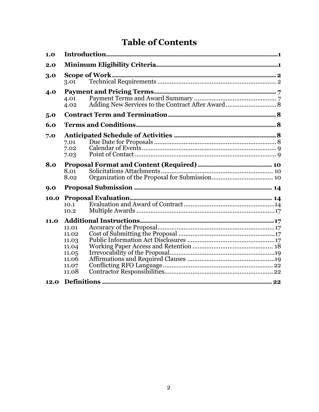# **Table of Contents**

| 1.0         |                                                                      |  |  |  |
|-------------|----------------------------------------------------------------------|--|--|--|
| 2.0         |                                                                      |  |  |  |
| 3.0         | 3.01                                                                 |  |  |  |
| 4.0         | 4.01<br>4.02                                                         |  |  |  |
| 5.0         |                                                                      |  |  |  |
| 6.0         |                                                                      |  |  |  |
| 7.0         | 7.01<br>7.02<br>7.03                                                 |  |  |  |
| 8.0         | 8.01<br>8.02                                                         |  |  |  |
| 9.0         |                                                                      |  |  |  |
| 10.0        | 10.1<br>10.2                                                         |  |  |  |
| <b>11.0</b> | 11.01<br>11.02<br>11.03<br>11.04<br>11.05<br>11.06<br>11.07<br>11.08 |  |  |  |
| 12.0        |                                                                      |  |  |  |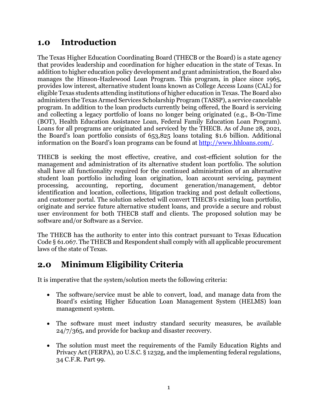## <span id="page-2-0"></span>**1.0 Introduction**

The Texas Higher Education Coordinating Board (THECB or the Board) is a state agency that provides leadership and coordination for higher education in the state of Texas. In addition to higher education policy development and grant administration, the Board also manages the Hinson-Hazlewood Loan Program. This program, in place since 1965, provides low interest, alternative student loans known as College Access Loans (CAL) for eligible Texas students attending institutions of higher education in Texas. The Board also administers the Texas Armed Services Scholarship Program (TASSP), a service cancelable program. In addition to the loan products currently being offered, the Board is servicing and collecting a legacy portfolio of loans no longer being originated (e.g., B-On-Time (BOT), Health Education Assistance Loan, Federal Family Education Loan Program). Loans for all programs are originated and serviced by the THECB. As of June 28, 2021, the Board's loan portfolio consists of 653,825 loans totaling \$1.6 billion. Additional information on the Board's loan programs can be found at [http://www.hhloans.com/.](http://www.hhloans.com/)

THECB is seeking the most effective, creative, and cost-efficient solution for the management and administration of its alternative student loan portfolio. The solution shall have all functionality required for the continued administration of an alternative student loan portfolio including loan origination, loan account servicing, payment processing, accounting, reporting, document generation/management, debtor identification and location, collections, litigation tracking and post default collections, and customer portal. The solution selected will convert THECB's existing loan portfolio, originate and service future alternative student loans, and provide a secure and robust user environment for both THECB staff and clients. The proposed solution may be software and/or Software as a Service.

The THECB has the authority to enter into this contract pursuant to Texas Education Code § 61.067. The THECB and Respondent shall comply with all applicable procurement laws of the state of Texas.

# <span id="page-2-1"></span>**2.0 Minimum Eligibility Criteria**

It is imperative that the system/solution meets the following criteria:

- The software/service must be able to convert, load, and manage data from the Board's existing Higher Education Loan Management System (HELMS) loan management system.
- The software must meet industry standard security measures, be available 24/7/365, and provide for backup and disaster recovery.
- The solution must meet the requirements of the Family Education Rights and Privacy Act(FERPA), 20 U.S.C. § 1232g, and the implementing federal regulations, 34 C.F.R. Part 99.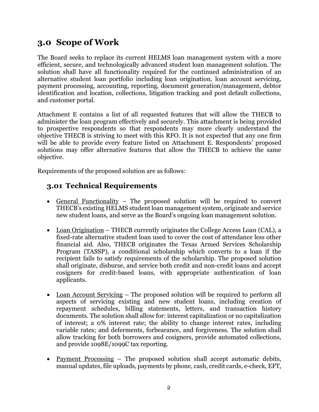# <span id="page-3-0"></span>**3.0 Scope of Work**

The Board seeks to replace its current HELMS loan management system with a more efficient, secure, and technologically advanced student loan management solution. The solution shall have all functionality required for the continued administration of an alternative student loan portfolio including loan origination, loan account servicing, payment processing, accounting, reporting, document generation/management, debtor identification and location, collections, litigation tracking and post default collections, and customer portal.

Attachment E contains a list of all requested features that will allow the THECB to administer the loan program effectively and securely. This attachment is being provided to prospective respondents so that respondents may more clearly understand the objective THECB is striving to meet with this RFO. It is not expected that any one firm will be able to provide every feature listed on Attachment E. Respondents' proposed solutions may offer alternative features that allow the THECB to achieve the same objective.

Requirements of the proposed solution are as follows:

#### <span id="page-3-1"></span>**3.01 Technical Requirements**

- General Functionality The proposed solution will be required to convert THECB's existing HELMS student loan management system, originate and service new student loans, and serve as the Board's ongoing loan management solution.
- Loan Origination THECB currently originates the College Access Loan (CAL), a fixed-rate alternative student loan used to cover the cost of attendance less other financial aid. Also, THECB originates the Texas Armed Services Scholarship Program (TASSP), a conditional scholarship which converts to a loan if the recipient fails to satisfy requirements of the scholarship. The proposed solution shall originate, disburse, and service both credit and non-credit loans and accept cosigners for credit-based loans, with appropriate authentication of loan applicants.
- Loan Account Servicing The proposed solution will be required to perform all aspects of servicing existing and new student loans, including creation of repayment schedules, billing statements, letters, and transaction history documents. The solution shall allow for: interest capitalization or no capitalization of interest; a 0% interest rate; the ability to change interest rates, including variable rates; and deferments, forbearance, and forgiveness. The solution shall allow tracking for both borrowers and cosigners, provide automated collections, and provide 1098E/1099C tax reporting.
- Payment Processing The proposed solution shall accept automatic debits, manual updates, file uploads, payments by phone, cash, credit cards, e-check, EFT,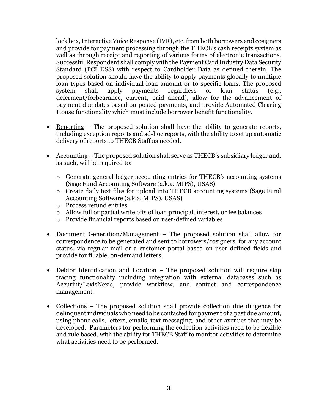lock box, Interactive Voice Response (IVR), etc. from both borrowers and cosigners and provide for payment processing through the THECB's cash receipts system as well as through receipt and reporting of various forms of electronic transactions. Successful Respondent shall comply with the Payment Card Industry Data Security Standard (PCI DSS) with respect to Cardholder Data as defined therein. The proposed solution should have the ability to apply payments globally to multiple loan types based on individual loan amount or to specific loans. The proposed system shall apply payments regardless of loan status (e.g., deferment/forbearance, current, paid ahead), allow for the advancement of payment due dates based on posted payments, and provide Automated Clearing House functionality which must include borrower benefit functionality.

- Reporting The proposed solution shall have the ability to generate reports, including exception reports and ad-hoc reports, with the ability to set up automatic delivery of reports to THECB Staff as needed.
- Accounting The proposed solution shall serve as THECB's subsidiary ledger and, as such, will be required to:
	- o Generate general ledger accounting entries for THECB's accounting systems (Sage Fund Accounting Software (a.k.a. MIPS), USAS)
	- o Create daily text files for upload into THECB accounting systems (Sage Fund Accounting Software (a.k.a. MIPS), USAS)
	- o Process refund entries
	- o Allow full or partial write offs of loan principal, interest, or fee balances
	- o Provide financial reports based on user-defined variables
- <u>Document Generation/Management</u> The proposed solution shall allow for correspondence to be generated and sent to borrowers/cosigners, for any account status, via regular mail or a customer portal based on user defined fields and provide for fillable, on-demand letters.
- Debtor Identification and Location The proposed solution will require skip tracing functionality including integration with external databases such as Accurint/LexisNexis, provide workflow, and contact and correspondence management.
- Collections The proposed solution shall provide collection due diligence for delinquent individuals who need to be contacted for payment of a past due amount, using phone calls, letters, emails, text messaging, and other avenues that may be developed. Parameters for performing the collection activities need to be flexible and rule based, with the ability for THECB Staff to monitor activities to determine what activities need to be performed.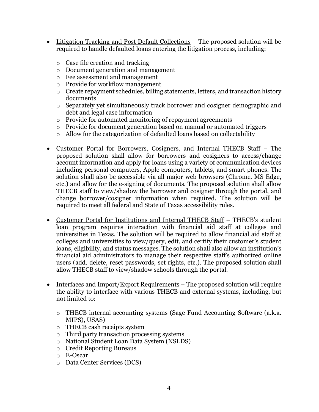- Litigation Tracking and Post Default Collections The proposed solution will be required to handle defaulted loans entering the litigation process, including:
	- o Case file creation and tracking
	- o Document generation and management
	- o Fee assessment and management
	- o Provide for workflow management
	- o Create repayment schedules, billing statements, letters, and transaction history documents
	- o Separately yet simultaneously track borrower and cosigner demographic and debt and legal case information
	- o Provide for automated monitoring of repayment agreements
	- o Provide for document generation based on manual or automated triggers
	- o Allow for the categorization of defaulted loans based on collectability
- Customer Portal for Borrowers, Cosigners, and Internal THECB Staff The proposed solution shall allow for borrowers and cosigners to access/change account information and apply for loans using a variety of communication devices including personal computers, Apple computers, tablets, and smart phones. The solution shall also be accessible via all major web browsers (Chrome, MS Edge, etc.) and allow for the e-signing of documents. The proposed solution shall allow THECB staff to view/shadow the borrower and cosigner through the portal, and change borrower/cosigner information when required. The solution will be required to meet all federal and State of Texas accessibility rules.
- Customer Portal for Institutions and Internal THECB Staff THECB's student loan program requires interaction with financial aid staff at colleges and universities in Texas. The solution will be required to allow financial aid staff at colleges and universities to view/query, edit, and certify their customer's student loans, eligibility, and status messages. The solution shall also allow an institution's financial aid administrators to manage their respective staff's authorized online users (add, delete, reset passwords, set rights, etc.). The proposed solution shall allow THECB staff to view/shadow schools through the portal.
- Interfaces and Import/Export Requirements The proposed solution will require the ability to interface with various THECB and external systems, including, but not limited to:
	- o THECB internal accounting systems (Sage Fund Accounting Software (a.k.a. MIPS), USAS)
	- o THECB cash receipts system
	- o Third party transaction processing systems
	- o National Student Loan Data System (NSLDS)
	- o Credit Reporting Bureaus
	- o E-Oscar
	- o Data Center Services (DCS)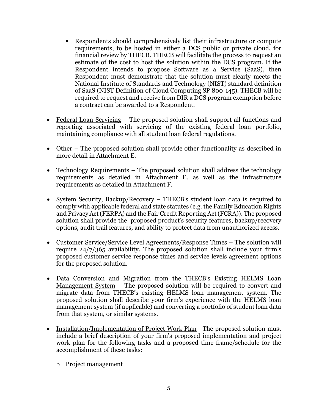- Respondents should comprehensively list their infrastructure or compute requirements, to be hosted in either a DCS public or private cloud, for financial review by THECB. THECB will facilitate the process to request an estimate of the cost to host the solution within the DCS program. If the Respondent intends to propose Software as a Service (SaaS), then Respondent must demonstrate that the solution must clearly meets the National Institute of Standards and Technology (NIST) standard definition of SaaS (NIST Definition of Cloud Computing SP 800-145). THECB will be required to request and receive from DIR a DCS program exemption before a contract can be awarded to a Respondent.
- Federal Loan Servicing The proposed solution shall support all functions and reporting associated with servicing of the existing federal loan portfolio, maintaining compliance with all student loan federal regulations.
- Other The proposed solution shall provide other functionality as described in more detail in Attachment E.
- Technology Requirements The proposed solution shall address the technology requirements as detailed in Attachment E. as well as the infrastructure requirements as detailed in Attachment F.
- System Security, Backup/Recovery THECB's student loan data is required to comply with applicable federal and state statutes (e.g. the Family Education Rights and Privacy Act (FERPA) and the Fair Credit Reporting Act (FCRA)). The proposed solution shall provide the proposed product's security features, backup/recovery options, audit trail features, and ability to protect data from unauthorized access.
- Customer Service/Service Level Agreements/Response Times The solution will require 24/7/365 availability. The proposed solution shall include your firm's proposed customer service response times and service levels agreement options for the proposed solution.
- Data Conversion and Migration from the THECB's Existing HELMS Loan Management System – The proposed solution will be required to convert and migrate data from THECB's existing HELMS loan management system. The proposed solution shall describe your firm's experience with the HELMS loan management system (if applicable) and converting a portfolio of student loan data from that system, or similar systems.
- Installation/Implementation of Project Work Plan –The proposed solution must include a brief description of your firm's proposed implementation and project work plan for the following tasks and a proposed time frame/schedule for the accomplishment of these tasks:
	- o Project management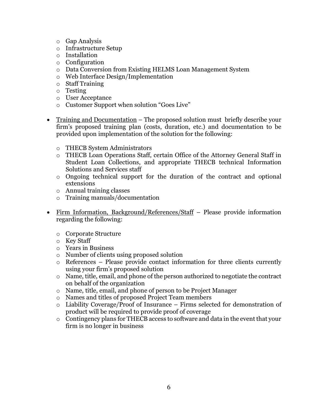- o Gap Analysis
- o Infrastructure Setup
- o Installation
- o Configuration
- o Data Conversion from Existing HELMS Loan Management System
- o Web Interface Design/Implementation
- o Staff Training
- o Testing
- o User Acceptance
- o Customer Support when solution "Goes Live"
- Training and Documentation The proposed solution must briefly describe your firm's proposed training plan (costs, duration, etc.) and documentation to be provided upon implementation of the solution for the following:
	- o THECB System Administrators
	- o THECB Loan Operations Staff, certain Office of the Attorney General Staff in Student Loan Collections, and appropriate THECB technical Information Solutions and Services staff
	- o Ongoing technical support for the duration of the contract and optional extensions
	- o Annual training classes
	- o Training manuals/documentation
- Firm Information, Background/References/Staff Please provide information regarding the following:
	- o Corporate Structure
	- o Key Staff
	- o Years in Business
	- o Number of clients using proposed solution
	- o References Please provide contact information for three clients currently using your firm's proposed solution
	- o Name, title, email, and phone of the person authorized to negotiate the contract on behalf of the organization
	- o Name, title, email, and phone of person to be Project Manager
	- o Names and titles of proposed Project Team members
	- o Liability Coverage/Proof of Insurance Firms selected for demonstration of product will be required to provide proof of coverage
	- o Contingency plans for THECB access to software and data in the event that your firm is no longer in business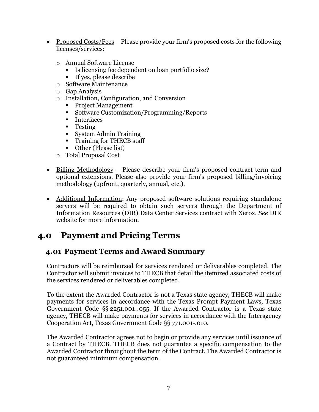- Proposed Costs/Fees Please provide your firm's proposed costs for the following licenses/services:
	- o Annual Software License
		- Is licensing fee dependent on loan portfolio size?
		- If yes, please describe
	- o Software Maintenance
	- o Gap Analysis
	- o Installation, Configuration, and Conversion
		- Project Management
		- Software Customization/Programming/Reports
		- **Interfaces**
		- **Testing**
		- System Admin Training
		- **Training for THECB staff**
		- Other (Please list)
	- o Total Proposal Cost
- Billing Methodology Please describe your firm's proposed contract term and optional extensions. Please also provide your firm's proposed billing/invoicing methodology (upfront, quarterly, annual, etc.).
- Additional Information: Any proposed software solutions requiring standalone servers will be required to obtain such servers through the Department of Information Resources (DIR) Data Center Services contract with Xerox. *See* DIR website for more information.

## <span id="page-8-0"></span>**4.0 Payment and Pricing Terms**

#### <span id="page-8-1"></span>**4.01 Payment Terms and Award Summary**

Contractors will be reimbursed for services rendered or deliverables completed. The Contractor will submit invoices to THECB that detail the itemized associated costs of the services rendered or deliverables completed.

To the extent the Awarded Contractor is not a Texas state agency, THECB will make payments for services in accordance with the Texas Prompt Payment Laws, Texas Government Code §§ 2251.001-.055. If the Awarded Contractor is a Texas state agency, THECB will make payments for services in accordance with the Interagency Cooperation Act, Texas Government Code §§ 771.001-.010.

The Awarded Contractor agrees not to begin or provide any services until issuance of a Contract by THECB. THECB does not guarantee a specific compensation to the Awarded Contractor throughout the term of the Contract. The Awarded Contractor is not guaranteed minimum compensation.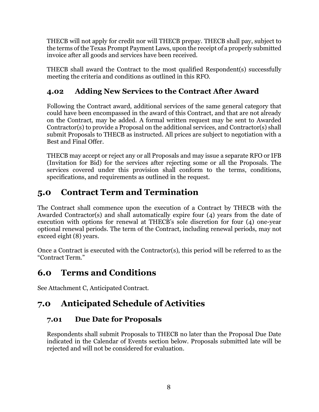THECB will not apply for credit nor will THECB prepay. THECB shall pay, subject to the terms of the Texas Prompt Payment Laws, upon the receipt of a properly submitted invoice after all goods and services have been received.

THECB shall award the Contract to the most qualified Respondent(s) successfully meeting the criteria and conditions as outlined in this RFO.

## <span id="page-9-0"></span>**4.02 Adding New Services to the Contract After Award**

Following the Contract award, additional services of the same general category that could have been encompassed in the award of this Contract, and that are not already on the Contract, may be added. A formal written request may be sent to Awarded Contractor(s) to provide a Proposal on the additional services, and Contractor(s) shall submit Proposals to THECB as instructed. All prices are subject to negotiation with a Best and Final Offer.

THECB may accept or reject any or all Proposals and may issue a separate RFO or IFB (Invitation for Bid) for the services after rejecting some or all the Proposals. The services covered under this provision shall conform to the terms, conditions, specifications, and requirements as outlined in the request.

# <span id="page-9-1"></span>**5.0 Contract Term and Termination**

The Contract shall commence upon the execution of a Contract by THECB with the Awarded Contractor(s) and shall automatically expire four (4) years from the date of execution with options for renewal at THECB's sole discretion for four (4) one-year optional renewal periods. The term of the Contract, including renewal periods, may not exceed eight (8) years.

Once a Contract is executed with the Contractor(s), this period will be referred to as the "Contract Term."

# <span id="page-9-2"></span>**6.0 Terms and Conditions**

See Attachment C, Anticipated Contract.

# <span id="page-9-3"></span>**7.0 Anticipated Schedule of Activities**

### <span id="page-9-4"></span>**7.01 Due Date for Proposals**

Respondents shall submit Proposals to THECB no later than the Proposal Due Date indicated in the Calendar of Events section below. Proposals submitted late will be rejected and will not be considered for evaluation.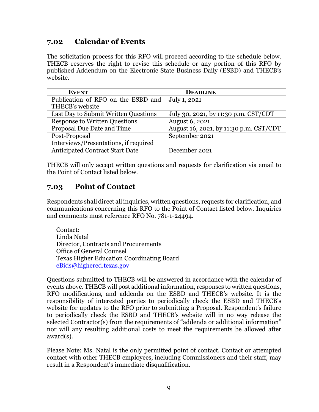#### <span id="page-10-0"></span>**7.02 Calendar of Events**

The solicitation process for this RFO will proceed according to the schedule below. THECB reserves the right to revise this schedule or any portion of this RFO by published Addendum on the Electronic State Business Daily (ESBD) and THECB's website.

| <b>EVENT</b>                                      | <b>DEADLINE</b>                        |
|---------------------------------------------------|----------------------------------------|
| Publication of RFO on the ESBD and   July 1, 2021 |                                        |
| THECB's website                                   |                                        |
| Last Day to Submit Written Questions              | July 30, 2021, by 11:30 p.m. CST/CDT   |
| <b>Response to Written Questions</b>              | <b>August 6, 2021</b>                  |
| Proposal Due Date and Time                        | August 16, 2021, by 11:30 p.m. CST/CDT |
| Post-Proposal                                     | September 2021                         |
| Interviews/Presentations, if required             |                                        |
| <b>Anticipated Contract Start Date</b>            | December 2021                          |

THECB will only accept written questions and requests for clarification via email to the Point of Contact listed below.

### <span id="page-10-1"></span>**7.03 Point of Contact**

Respondents shall direct all inquiries, written questions, requests for clarification, and communications concerning this RFO to the Point of Contact listed below. Inquiries and comments must reference RFO No. 781-1-24494.

Contact: Linda Natal Director, Contracts and Procurements Office of General Counsel Texas Higher Education Coordinating Board [eBids@highered.texas.gov](mailto:eBids@highered.texas.gov)

Questions submitted to THECB will be answered in accordance with the calendar of events above. THECB will post additional information, responses to written questions, RFO modifications, and addenda on the ESBD and THECB's website. It is the responsibility of interested parties to periodically check the ESBD and THECB's website for updates to the RFO prior to submitting a Proposal. Respondent's failure to periodically check the ESBD and THECB's website will in no way release the selected Contractor(s) from the requirements of "addenda or additional information" nor will any resulting additional costs to meet the requirements be allowed after award(s).

Please Note: Ms. Natal is the only permitted point of contact. Contact or attempted contact with other THECB employees, including Commissioners and their staff, may result in a Respondent's immediate disqualification.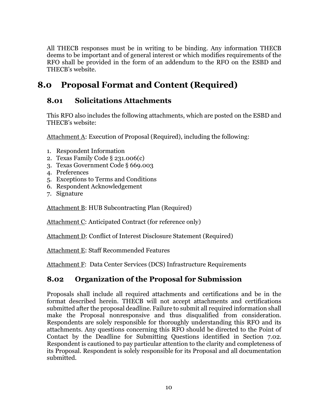All THECB responses must be in writing to be binding. Any information THECB deems to be important and of general interest or which modifies requirements of the RFO shall be provided in the form of an addendum to the RFO on the ESBD and THECB's website.

# <span id="page-11-0"></span>**8.0 Proposal Format and Content (Required)**

#### <span id="page-11-1"></span>**8.01 Solicitations Attachments**

This RFO also includes the following attachments, which are posted on the ESBD and THECB's website:

Attachment A: Execution of Proposal (Required), including the following:

- 1. Respondent Information
- 2. Texas Family Code § 231.006(c)
- 3. Texas Government Code § 669.003
- 4. Preferences
- 5. Exceptions to Terms and Conditions
- 6. Respondent Acknowledgement
- 7. Signature

Attachment B: HUB Subcontracting Plan (Required)

Attachment C: Anticipated Contract (for reference only)

Attachment D: Conflict of Interest Disclosure Statement (Required)

Attachment E: Staff Recommended Features

Attachment F: Data Center Services (DCS) Infrastructure Requirements

## <span id="page-11-2"></span>**8.02 Organization of the Proposal for Submission**

Proposals shall include all required attachments and certifications and be in the format described herein. THECB will not accept attachments and certifications submitted after the proposal deadline. Failure to submit all required information shall make the Proposal nonresponsive and thus disqualified from consideration. Respondents are solely responsible for thoroughly understanding this RFO and its attachments. Any questions concerning this RFO should be directed to the Point of Contact by the Deadline for Submitting Questions identified in Section 7.02. Respondent is cautioned to pay particular attention to the clarity and completeness of its Proposal. Respondent is solely responsible for its Proposal and all documentation submitted.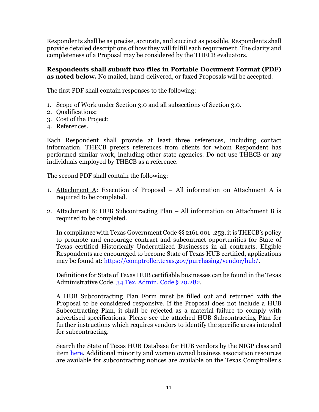Respondents shall be as precise, accurate, and succinct as possible. Respondents shall provide detailed descriptions of how they will fulfill each requirement. The clarity and completeness of a Proposal may be considered by the THECB evaluators.

**Respondents shall submit two files in Portable Document Format (PDF) as noted below.** No mailed, hand-delivered, or faxed Proposals will be accepted.

The first PDF shall contain responses to the following:

- 1. Scope of Work under Section 3.0 and all subsections of Section 3.0.
- 2. Qualifications;
- 3. Cost of the Project;
- 4. References.

Each Respondent shall provide at least three references, including contact information. THECB prefers references from clients for whom Respondent has performed similar work, including other state agencies. Do not use THECB or any individuals employed by THECB as a reference.

The second PDF shall contain the following:

- 1. Attachment A: Execution of Proposal All information on Attachment A is required to be completed.
- 2. Attachment B: HUB Subcontracting Plan  $-$  All information on Attachment B is required to be completed.

In compliance with Texas Government Code §§ 2161.001-.253, it is THECB's policy to promote and encourage contract and subcontract opportunities for State of Texas certified Historically Underutilized Businesses in all contracts. Eligible Respondents are encouraged to become State of Texas HUB certified, applications may be found at: [https://comptroller.texas.gov/purchasing/vendor/hub/.](https://comptroller.texas.gov/purchasing/vendor/hub/)

Definitions for State of Texas HUB certifiable businesses can be found in the Texas Administrative Code. [34 Tex. Admin. Code § 20.282.](https://texreg.sos.state.tx.us/public/readtac$ext.TacPage?sl=R&app=9&p_dir=&p_rloc=&p_tloc=&p_ploc=&pg=1&p_tac=&ti=34&pt=1&ch=20&rl=282)

A HUB Subcontracting Plan Form must be filled out and returned with the Proposal to be considered responsive. If the Proposal does not include a HUB Subcontracting Plan, it shall be rejected as a material failure to comply with advertised specifications. Please see the attached HUB Subcontracting Plan for further instructions which requires vendors to identify the specific areas intended for subcontracting.

Search the State of Texas HUB Database for HUB vendors by the NIGP class and item [here.](https://mycpa.cpa.state.tx.us/tpasscmblsearch/tpasscmblsearch.do) Additional minority and women owned business association resources are available for subcontracting notices are available on the Texas Comptroller's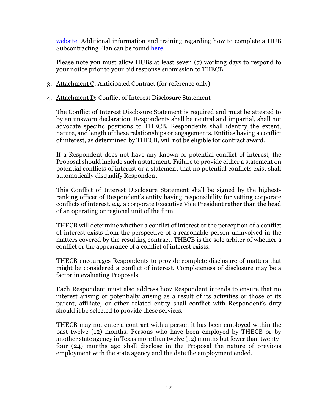[website.](https://comptroller.texas.gov/purchasing/vendor/hub/) Additional information and training regarding how to complete a HUB Subcontracting Plan can be found [here.](https://comptroller.texas.gov/purchasing/vendor/hub/forms.php)

Please note you must allow HUBs at least seven (7) working days to respond to your notice prior to your bid response submission to THECB.

- 3. Attachment C: Anticipated Contract (for reference only)
- 4. Attachment D: Conflict of Interest Disclosure Statement

The Conflict of Interest Disclosure Statement is required and must be attested to by an unsworn declaration. Respondents shall be neutral and impartial, shall not advocate specific positions to THECB. Respondents shall identify the extent, nature, and length of these relationships or engagements. Entities having a conflict of interest, as determined by THECB, will not be eligible for contract award.

If a Respondent does not have any known or potential conflict of interest, the Proposal should include such a statement. Failure to provide either a statement on potential conflicts of interest or a statement that no potential conflicts exist shall automatically disqualify Respondent.

This Conflict of Interest Disclosure Statement shall be signed by the highestranking officer of Respondent's entity having responsibility for vetting corporate conflicts of interest, e.g. a corporate Executive Vice President rather than the head of an operating or regional unit of the firm.

THECB will determine whether a conflict of interest or the perception of a conflict of interest exists from the perspective of a reasonable person uninvolved in the matters covered by the resulting contract. THECB is the sole arbiter of whether a conflict or the appearance of a conflict of interest exists.

THECB encourages Respondents to provide complete disclosure of matters that might be considered a conflict of interest. Completeness of disclosure may be a factor in evaluating Proposals.

Each Respondent must also address how Respondent intends to ensure that no interest arising or potentially arising as a result of its activities or those of its parent, affiliate, or other related entity shall conflict with Respondent's duty should it be selected to provide these services.

THECB may not enter a contract with a person it has been employed within the past twelve (12) months. Persons who have been employed by THECB or by another state agency in Texas more than twelve (12) months but fewer than twentyfour (24) months ago shall disclose in the Proposal the nature of previous employment with the state agency and the date the employment ended.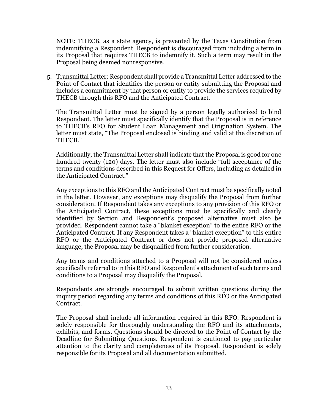NOTE: THECB, as a state agency, is prevented by the Texas Constitution from indemnifying a Respondent. Respondent is discouraged from including a term in its Proposal that requires THECB to indemnify it. Such a term may result in the Proposal being deemed nonresponsive.

5. Transmittal Letter: Respondent shall provide a Transmittal Letter addressed to the Point of Contact that identifies the person or entity submitting the Proposal and includes a commitment by that person or entity to provide the services required by THECB through this RFO and the Anticipated Contract.

The Transmittal Letter must be signed by a person legally authorized to bind Respondent. The letter must specifically identify that the Proposal is in reference to THECB's RFO for Student Loan Management and Origination System. The letter must state, "The Proposal enclosed is binding and valid at the discretion of THECB."

Additionally, the Transmittal Letter shall indicate that the Proposal is good for one hundred twenty (120) days. The letter must also include "full acceptance of the terms and conditions described in this Request for Offers, including as detailed in the Anticipated Contract."

Any exceptions to this RFO and the Anticipated Contract must be specifically noted in the letter. However, any exceptions may disqualify the Proposal from further consideration. If Respondent takes any exceptions to any provision of this RFO or the Anticipated Contract, these exceptions must be specifically and clearly identified by Section and Respondent's proposed alternative must also be provided. Respondent cannot take a "blanket exception" to the entire RFO or the Anticipated Contract. If any Respondent takes a "blanket exception" to this entire RFO or the Anticipated Contract or does not provide proposed alternative language, the Proposal may be disqualified from further consideration.

Any terms and conditions attached to a Proposal will not be considered unless specifically referred to in this RFO and Respondent's attachment of such terms and conditions to a Proposal may disqualify the Proposal.

Respondents are strongly encouraged to submit written questions during the inquiry period regarding any terms and conditions of this RFO or the Anticipated Contract.

The Proposal shall include all information required in this RFO. Respondent is solely responsible for thoroughly understanding the RFO and its attachments, exhibits, and forms. Questions should be directed to the Point of Contact by the Deadline for Submitting Questions. Respondent is cautioned to pay particular attention to the clarity and completeness of its Proposal. Respondent is solely responsible for its Proposal and all documentation submitted.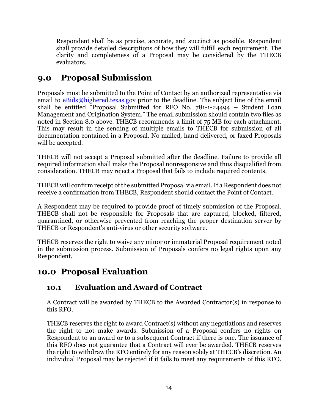Respondent shall be as precise, accurate, and succinct as possible. Respondent shall provide detailed descriptions of how they will fulfill each requirement. The clarity and completeness of a Proposal may be considered by the THECB evaluators.

# <span id="page-15-0"></span>**9.0 Proposal Submission**

Proposals must be submitted to the Point of Contact by an authorized representative via email to  $eBids@highered.tex$  prior to the deadline. The subject line of the email shall be entitled "Proposal Submitted for RFO No. 781-1-24494 – Student Loan Management and Origination System." The email submission should contain two files as noted in Section 8.0 above. THECB recommends a limit of 75 MB for each attachment. This may result in the sending of multiple emails to THECB for submission of all documentation contained in a Proposal. No mailed, hand-delivered, or faxed Proposals will be accepted.

THECB will not accept a Proposal submitted after the deadline. Failure to provide all required information shall make the Proposal nonresponsive and thus disqualified from consideration. THECB may reject a Proposal that fails to include required contents.

THECB will confirm receipt of the submitted Proposal via email. If a Respondent does not receive a confirmation from THECB, Respondent should contact the Point of Contact.

A Respondent may be required to provide proof of timely submission of the Proposal. THECB shall not be responsible for Proposals that are captured, blocked, filtered, quarantined, or otherwise prevented from reaching the proper destination server by THECB or Respondent's anti-virus or other security software.

THECB reserves the right to waive any minor or immaterial Proposal requirement noted in the submission process. Submission of Proposals confers no legal rights upon any Respondent.

# <span id="page-15-1"></span>**10.0 Proposal Evaluation**

## <span id="page-15-2"></span>**10.1 Evaluation and Award of Contract**

A Contract will be awarded by THECB to the Awarded Contractor(s) in response to this RFO.

THECB reserves the right to award Contract(s) without any negotiations and reserves the right to not make awards. Submission of a Proposal confers no rights on Respondent to an award or to a subsequent Contract if there is one. The issuance of this RFO does not guarantee that a Contract will ever be awarded. THECB reserves the right to withdraw the RFO entirely for any reason solely at THECB's discretion. An individual Proposal may be rejected if it fails to meet any requirements of this RFO.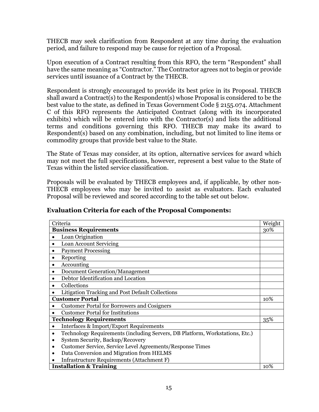THECB may seek clarification from Respondent at any time during the evaluation period, and failure to respond may be cause for rejection of a Proposal.

Upon execution of a Contract resulting from this RFO, the term "Respondent" shall have the same meaning as "Contractor." The Contractor agrees not to begin or provide services until issuance of a Contract by the THECB.

Respondent is strongly encouraged to provide its best price in its Proposal. THECB shall award a Contract(s) to the Respondent(s) whose Proposal is considered to be the best value to the state, as defined in Texas Government Code § 2155.074. Attachment C of this RFO represents the Anticipated Contract (along with its incorporated exhibits) which will be entered into with the Contractor(s) and lists the additional terms and conditions governing this RFO. THECB may make its award to Respondent(s) based on any combination, including, but not limited to line items or commodity groups that provide best value to the State.

The State of Texas may consider, at its option, alternative services for award which may not meet the full specifications, however, represent a best value to the State of Texas within the listed service classification.

Proposals will be evaluated by THECB employees and, if applicable, by other non-THECB employees who may be invited to assist as evaluators. Each evaluated Proposal will be reviewed and scored according to the table set out below.

| Criteria                                                                                  |  |  |
|-------------------------------------------------------------------------------------------|--|--|
| <b>Business Requirements</b>                                                              |  |  |
| Loan Origination                                                                          |  |  |
| Loan Account Servicing                                                                    |  |  |
| <b>Payment Processing</b>                                                                 |  |  |
| Reporting                                                                                 |  |  |
| Accounting                                                                                |  |  |
| Document Generation/Management                                                            |  |  |
| Debtor Identification and Location                                                        |  |  |
| Collections                                                                               |  |  |
| Litigation Tracking and Post Default Collections                                          |  |  |
| <b>Customer Portal</b>                                                                    |  |  |
| <b>Customer Portal for Borrowers and Cosigners</b>                                        |  |  |
| <b>Customer Portal for Institutions</b>                                                   |  |  |
| <b>Technology Requirements</b>                                                            |  |  |
| <b>Interfaces &amp; Import/Export Requirements</b>                                        |  |  |
| Technology Requirements (including Servers, DB Platform, Workstations, Etc.)<br>$\bullet$ |  |  |
| System Security, Backup/Recovery                                                          |  |  |
| Customer Service, Service Level Agreements/Response Times                                 |  |  |
| Data Conversion and Migration from HELMS                                                  |  |  |
| <b>Infrastructure Requirements (Attachment F)</b>                                         |  |  |
| <b>Installation &amp; Training</b>                                                        |  |  |

#### **Evaluation Criteria for each of the Proposal Components:**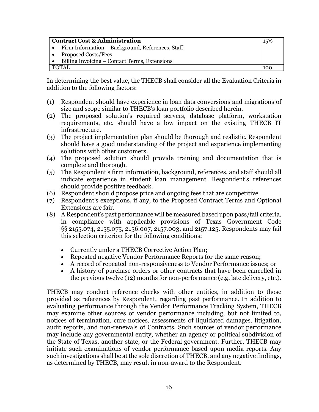| <b>Contract Cost &amp; Administration</b>          |  |  |
|----------------------------------------------------|--|--|
| • Firm Information – Background, References, Staff |  |  |
| • Proposed Costs/Fees                              |  |  |
| • Billing Invoicing – Contact Terms, Extensions    |  |  |
| TOTAL                                              |  |  |

In determining the best value, the THECB shall consider all the Evaluation Criteria in addition to the following factors:

- (1) Respondent should have experience in loan data conversions and migrations of size and scope similar to THECB's loan portfolio described herein.
- (2) The proposed solution's required servers, database platform, workstation requirements, etc. should have a low impact on the existing THECB IT infrastructure.
- (3) The project implementation plan should be thorough and realistic. Respondent should have a good understanding of the project and experience implementing solutions with other customers.
- (4) The proposed solution should provide training and documentation that is complete and thorough.
- (5) The Respondent's firm information, background, references, and staff should all indicate experience in student loan management. Respondent's references should provide positive feedback.
- (6) Respondent should propose price and ongoing fees that are competitive.
- (7) Respondent's exceptions, if any, to the Proposed Contract Terms and Optional Extensions are fair.
- (8) A Respondent's past performance will be measured based upon pass/fail criteria, in compliance with applicable provisions of Texas Government Code §§ 2155.074, 2155.075, 2156.007, 2157.003, and 2157.125. Respondents may fail this selection criterion for the following conditions:
	- Currently under a THECB Corrective Action Plan;
	- Repeated negative Vendor Performance Reports for the same reason;
	- A record of repeated non-responsiveness to Vendor Performance issues; or
	- A history of purchase orders or other contracts that have been cancelled in the previous twelve (12) months for non-performance (e.g. late delivery, etc.).

THECB may conduct reference checks with other entities, in addition to those provided as references by Respondent, regarding past performance. In addition to evaluating performance through the Vendor Performance Tracking System, THECB may examine other sources of vendor performance including, but not limited to, notices of termination, cure notices, assessments of liquidated damages, litigation, audit reports, and non-renewals of Contracts. Such sources of vendor performance may include any governmental entity, whether an agency or political subdivision of the State of Texas, another state, or the Federal government. Further, THECB may initiate such examinations of vendor performance based upon media reports. Any such investigations shall be at the sole discretion of THECB, and any negative findings, as determined by THECB, may result in non-award to the Respondent.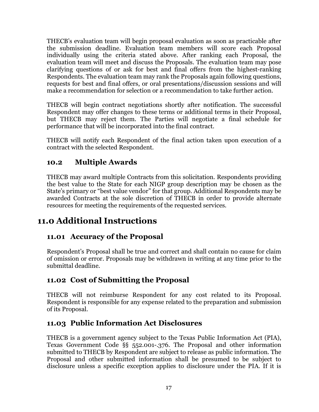THECB's evaluation team will begin proposal evaluation as soon as practicable after the submission deadline. Evaluation team members will score each Proposal individually using the criteria stated above. After ranking each Proposal, the evaluation team will meet and discuss the Proposals. The evaluation team may pose clarifying questions of or ask for best and final offers from the highest-ranking Respondents. The evaluation team may rank the Proposals again following questions, requests for best and final offers, or oral presentations/discussion sessions and will make a recommendation for selection or a recommendation to take further action.

THECB will begin contract negotiations shortly after notification. The successful Respondent may offer changes to these terms or additional terms in their Proposal, but THECB may reject them. The Parties will negotiate a final schedule for performance that will be incorporated into the final contract.

THECB will notify each Respondent of the final action taken upon execution of a contract with the selected Respondent.

## <span id="page-18-0"></span>**10.2 Multiple Awards**

THECB may award multiple Contracts from this solicitation. Respondents providing the best value to the State for each NIGP group description may be chosen as the State's primary or "best value vendor" for that group. Additional Respondents may be awarded Contracts at the sole discretion of THECB in order to provide alternate resources for meeting the requirements of the requested services.

# <span id="page-18-1"></span>**11.0 Additional Instructions**

## <span id="page-18-2"></span>**11.01 Accuracy of the Proposal**

Respondent's Proposal shall be true and correct and shall contain no cause for claim of omission or error. Proposals may be withdrawn in writing at any time prior to the submittal deadline.

## <span id="page-18-3"></span>**11.02 Cost of Submitting the Proposal**

THECB will not reimburse Respondent for any cost related to its Proposal. Respondent is responsible for any expense related to the preparation and submission of its Proposal.

### <span id="page-18-4"></span>**11.03 Public Information Act Disclosures**

THECB is a government agency subject to the Texas Public Information Act (PIA), Texas Government Code §§ 552.001-.376. The Proposal and other information submitted to THECB by Respondent are subject to release as public information. The Proposal and other submitted information shall be presumed to be subject to disclosure unless a specific exception applies to disclosure under the PIA. If it is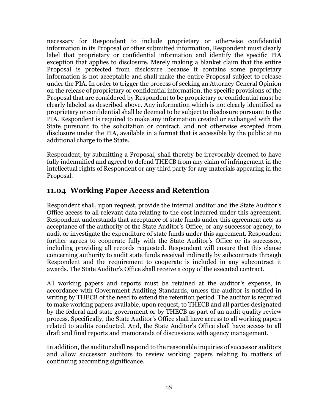necessary for Respondent to include proprietary or otherwise confidential information in its Proposal or other submitted information, Respondent must clearly label that proprietary or confidential information and identify the specific PIA exception that applies to disclosure. Merely making a blanket claim that the entire Proposal is protected from disclosure because it contains some proprietary information is not acceptable and shall make the entire Proposal subject to release under the PIA. In order to trigger the process of seeking an Attorney General Opinion on the release of proprietary or confidential information, the specific provisions of the Proposal that are considered by Respondent to be proprietary or confidential must be clearly labeled as described above. Any information which is not clearly identified as proprietary or confidential shall be deemed to be subject to disclosure pursuant to the PIA. Respondent is required to make any information created or exchanged with the State pursuant to the solicitation or contract, and not otherwise excepted from disclosure under the PIA, available in a format that is accessible by the public at no additional charge to the State.

Respondent, by submitting a Proposal, shall thereby be irrevocably deemed to have fully indemnified and agreed to defend THECB from any claim of infringement in the intellectual rights of Respondent or any third party for any materials appearing in the Proposal.

#### <span id="page-19-0"></span>**11.04 Working Paper Access and Retention**

Respondent shall, upon request, provide the internal auditor and the State Auditor's Office access to all relevant data relating to the cost incurred under this agreement. Respondent understands that acceptance of state funds under this agreement acts as acceptance of the authority of the State Auditor's Office, or any successor agency, to audit or investigate the expenditure of state funds under this agreement. Respondent further agrees to cooperate fully with the State Auditor's Office or its successor, including providing all records requested. Respondent will ensure that this clause concerning authority to audit state funds received indirectly by subcontracts through Respondent and the requirement to cooperate is included in any subcontract it awards. The State Auditor's Office shall receive a copy of the executed contract.

All working papers and reports must be retained at the auditor's expense, in accordance with Government Auditing Standards, unless the auditor is notified in writing by THECB of the need to extend the retention period. The auditor is required to make working papers available, upon request, to THECB and all parties designated by the federal and state government or by THECB as part of an audit quality review process. Specifically, the State Auditor's Office shall have access to all working papers related to audits conducted. And, the State Auditor's Office shall have access to all draft and final reports and memoranda of discussions with agency management.

In addition, the auditor shall respond to the reasonable inquiries of successor auditors and allow successor auditors to review working papers relating to matters of continuing accounting significance.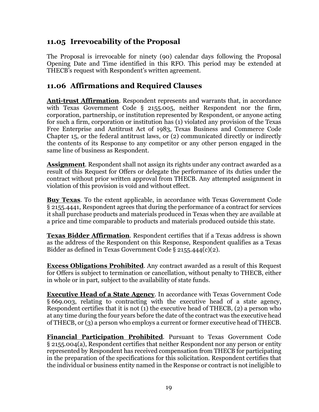#### <span id="page-20-0"></span>**11.05 Irrevocability of the Proposal**

The Proposal is irrevocable for ninety (90) calendar days following the Proposal Opening Date and Time identified in this RFO. This period may be extended at THECB's request with Respondent's written agreement.

#### <span id="page-20-1"></span>**11.06 Affirmations and Required Clauses**

**Anti-trust Affirmation**. Respondent represents and warrants that, in accordance with Texas Government Code § 2155.005, neither Respondent nor the firm, corporation, partnership, or institution represented by Respondent, or anyone acting for such a firm, corporation or institution has (1) violated any provision of the Texas Free Enterprise and Antitrust Act of 1983, Texas Business and Commerce Code Chapter 15, or the federal antitrust laws, or (2) communicated directly or indirectly the contents of its Response to any competitor or any other person engaged in the same line of business as Respondent.

**Assignment**. Respondent shall not assign its rights under any contract awarded as a result of this Request for Offers or delegate the performance of its duties under the contract without prior written approval from THECB. Any attempted assignment in violation of this provision is void and without effect.

**Buy Texas**. To the extent applicable, in accordance with Texas Government Code § 2155.4441, Respondent agrees that during the performance of a contract for services it shall purchase products and materials produced in Texas when they are available at a price and time comparable to products and materials produced outside this state.

**Texas Bidder Affirmation**. Respondent certifies that if a Texas address is shown as the address of the Respondent on this Response, Respondent qualifies as a Texas Bidder as defined in Texas Government Code § 2155.444(c)(2).

**Excess Obligations Prohibited**. Any contract awarded as a result of this Request for Offers is subject to termination or cancellation, without penalty to THECB, either in whole or in part, subject to the availability of state funds.

**Executive Head of a State Agency**. In accordance with Texas Government Code § 669.003, relating to contracting with the executive head of a state agency, Respondent certifies that it is not (1) the executive head of THECB, (2) a person who at any time during the four years before the date of the contract was the executive head of THECB, or (3) a person who employs a current or former executive head of THECB.

**Financial Participation Prohibited**. Pursuant to Texas Government Code § 2155.004(a), Respondent certifies that neither Respondent nor any person or entity represented by Respondent has received compensation from THECB for participating in the preparation of the specifications for this solicitation. Respondent certifies that the individual or business entity named in the Response or contract is not ineligible to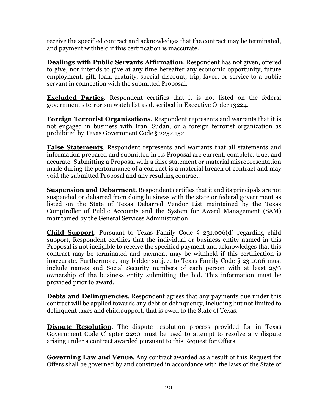receive the specified contract and acknowledges that the contract may be terminated, and payment withheld if this certification is inaccurate.

**Dealings with Public Servants Affirmation**. Respondent has not given, offered to give, nor intends to give at any time hereafter any economic opportunity, future employment, gift, loan, gratuity, special discount, trip, favor, or service to a public servant in connection with the submitted Proposal.

**Excluded Parties**. Respondent certifies that it is not listed on the federal government's terrorism watch list as described in Executive Order 13224.

**Foreign Terrorist Organizations**. Respondent represents and warrants that it is not engaged in business with Iran, Sudan, or a foreign terrorist organization as prohibited by Texas Government Code § 2252.152.

**False Statements**. Respondent represents and warrants that all statements and information prepared and submitted in its Proposal are current, complete, true, and accurate. Submitting a Proposal with a false statement or material misrepresentation made during the performance of a contract is a material breach of contract and may void the submitted Proposal and any resulting contract.

**Suspension and Debarment**. Respondent certifies that it and its principals are not suspended or debarred from doing business with the state or federal government as listed on the State of Texas Debarred Vendor List maintained by the Texas Comptroller of Public Accounts and the System for Award Management (SAM) maintained by the General Services Administration.

**Child Support.** Pursuant to Texas Family Code § 231.006(d) regarding child support, Respondent certifies that the individual or business entity named in this Proposal is not ineligible to receive the specified payment and acknowledges that this contract may be terminated and payment may be withheld if this certification is inaccurate. Furthermore, any bidder subject to Texas Family Code § 231.006 must include names and Social Security numbers of each person with at least 25% ownership of the business entity submitting the bid. This information must be provided prior to award.

**Debts and Delinquencies**. Respondent agrees that any payments due under this contract will be applied towards any debt or delinquency, including but not limited to delinquent taxes and child support, that is owed to the State of Texas.

**Dispute Resolution**. The dispute resolution process provided for in Texas Government Code Chapter 2260 must be used to attempt to resolve any dispute arising under a contract awarded pursuant to this Request for Offers.

**Governing Law and Venue**. Any contract awarded as a result of this Request for Offers shall be governed by and construed in accordance with the laws of the State of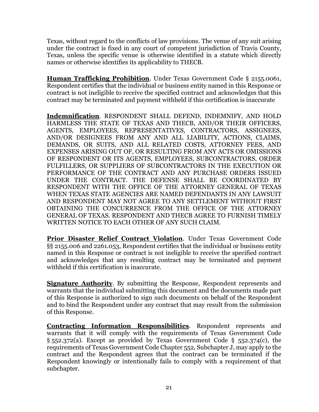Texas, without regard to the conflicts of law provisions. The venue of any suit arising under the contract is fixed in any court of competent jurisdiction of Travis County, Texas, unless the specific venue is otherwise identified in a statute which directly names or otherwise identifies its applicability to THECB.

**Human Trafficking Prohibition**. Under Texas Government Code § 2155.0061, Respondent certifies that the individual or business entity named in this Response or contract is not ineligible to receive the specified contract and acknowledges that this contract may be terminated and payment withheld if this certification is inaccurate

**Indemnification**. RESPONDENT SHALL DEFEND, INDEMNIFY, AND HOLD HARMLESS THE STATE OF TEXAS AND THECB, AND/OR THEIR OFFICERS, AGENTS, EMPLOYEES, REPRESENTATIVES, CONTRACTORS, ASSIGNEES, AND/OR DESIGNEES FROM ANY AND ALL LIABILITY, ACTIONS, CLAIMS, DEMANDS, OR SUITS, AND ALL RELATED COSTS, ATTORNEY FEES, AND EXPENSES ARISING OUT OF, OR RESULTING FROM ANY ACTS OR OMISSIONS OF RESPONDENT OR ITS AGENTS, EMPLOYEES, SUBCONTRACTORS, ORDER FULFILLERS, OR SUPPLIERS OF SUBCONTRACTORS IN THE EXECUTION OR PERFORMANCE OF THE CONTRACT AND ANY PURCHASE ORDERS ISSUED UNDER THE CONTRACT. THE DEFENSE SHALL BE COORDINATED BY RESPONDENT WITH THE OFFICE OF THE ATTORNEY GENERAL OF TEXAS WHEN TEXAS STATE AGENCIES ARE NAMED DEFENDANTS IN ANY LAWSUIT AND RESPONDENT MAY NOT AGREE TO ANY SETTLEMENT WITHOUT FIRST OBTAINING THE CONCURRENCE FROM THE OFFICE OF THE ATTORNEY GENERAL OF TEXAS. RESPONDENT AND THECB AGREE TO FURNISH TIMELY WRITTEN NOTICE TO EACH OTHER OF ANY SUCH CLAIM.

**Prior Disaster Relief Contract Violation**. Under Texas Government Code §§ 2155.006 and 2261.053, Respondent certifies that the individual or business entity named in this Response or contract is not ineligible to receive the specified contract and acknowledges that any resulting contract may be terminated and payment withheld if this certification is inaccurate.

**Signature Authority.** By submitting the Response, Respondent represents and warrants that the individual submitting this document and the documents made part of this Response is authorized to sign such documents on behalf of the Respondent and to bind the Respondent under any contract that may result from the submission of this Response.

**Contracting Information Responsibilities**. Respondent represents and warrants that it will comply with the requirements of Texas Government Code  $\S$  552.372(a). Except as provided by Texas Government Code  $\S$  552.374(c), the requirements of Texas Government Code Chapter 552, Subchapter J, may apply to the contract and the Respondent agrees that the contract can be terminated if the Respondent knowingly or intentionally fails to comply with a requirement of that subchapter.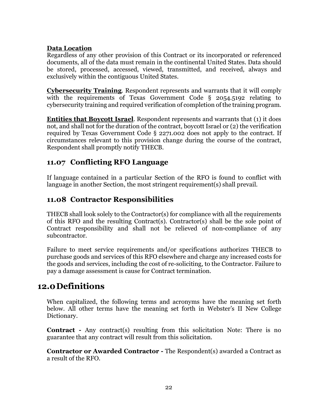#### **Data Location**

Regardless of any other provision of this Contract or its incorporated or referenced documents, all of the data must remain in the continental United States. Data should be stored, processed, accessed, viewed, transmitted, and received, always and exclusively within the contiguous United States.

**Cybersecurity Training**. Respondent represents and warrants that it will comply with the requirements of Texas Government Code § 2054.5192 relating to cybersecurity training and required verification of completion of the training program.

**Entities that Boycott Israel**. Respondent represents and warrants that (1) it does not, and shall not for the duration of the contract, boycott Israel or (2) the verification required by Texas Government Code § 2271.002 does not apply to the contract. If circumstances relevant to this provision change during the course of the contract, Respondent shall promptly notify THECB.

#### <span id="page-23-0"></span>**11.07 Conflicting RFO Language**

If language contained in a particular Section of the RFO is found to conflict with language in another Section, the most stringent requirement(s) shall prevail.

#### <span id="page-23-1"></span>**11.08 Contractor Responsibilities**

THECB shall look solely to the Contractor(s) for compliance with all the requirements of this RFO and the resulting Contract(s). Contractor(s) shall be the sole point of Contract responsibility and shall not be relieved of non-compliance of any subcontractor.

Failure to meet service requirements and/or specifications authorizes THECB to purchase goods and services of this RFO elsewhere and charge any increased costs for the goods and services, including the cost of re-soliciting, to the Contractor. Failure to pay a damage assessment is cause for Contract termination.

## <span id="page-23-2"></span>**12.0Definitions**

When capitalized, the following terms and acronyms have the meaning set forth below. All other terms have the meaning set forth in Webster's II New College Dictionary.

**Contract** - Any contract(s) resulting from this solicitation Note: There is no guarantee that any contract will result from this solicitation.

**Contractor or Awarded Contractor -** The Respondent(s) awarded a Contract as a result of the RFO.